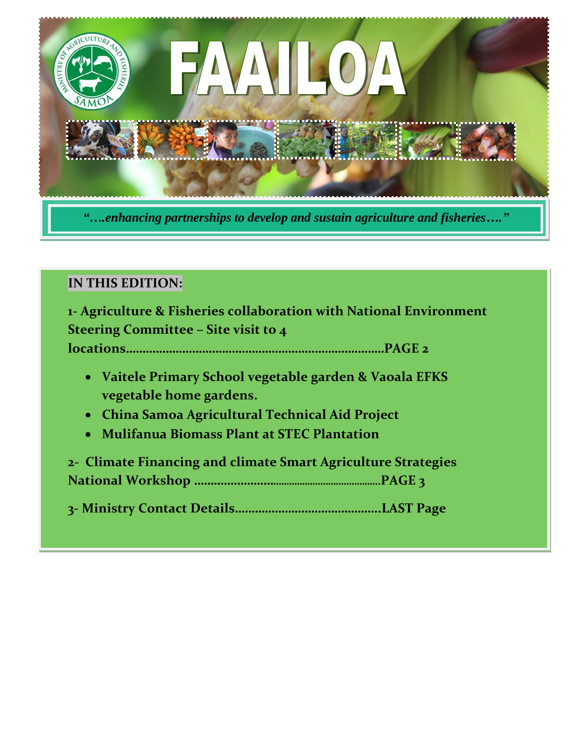

### **IN THIS EDITION:**

**1- Agriculture & Fisheries collaboration with National Environment Steering Committee – Site visit to 4 locations……………………………………………………………………PAGE 2**

- **Vaitele Primary School vegetable garden & Vaoala EFKS vegetable home gardens.**
- **China Samoa Agricultural Technical Aid Project**
- **Mulifanua Biomass Plant at STEC Plantation**

**2- Climate Financing and climate Smart Agriculture Strategies National Workshop ………………………………………………………..PAGE 3**

**3- Ministry Contact Details……………………………………..LAST Page**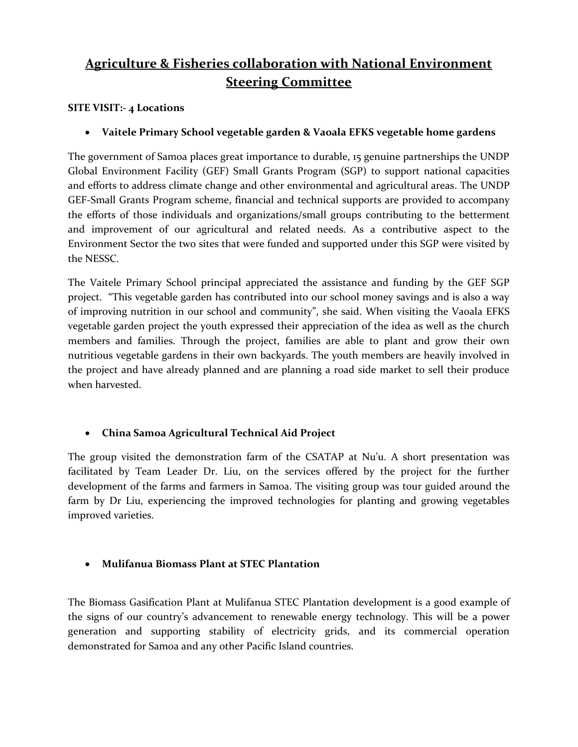## **Agriculture & Fisheries collaboration with National Environment Steering Committee**

#### **SITE VISIT:- 4 Locations**

**Vaitele Primary School vegetable garden & Vaoala EFKS vegetable home gardens**

The government of Samoa places great importance to durable, 15 genuine partnerships the UNDP Global Environment Facility (GEF) Small Grants Program (SGP) to support national capacities and efforts to address climate change and other environmental and agricultural areas. The UNDP GEF-Small Grants Program scheme, financial and technical supports are provided to accompany the efforts of those individuals and organizations/small groups contributing to the betterment and improvement of our agricultural and related needs. As a contributive aspect to the Environment Sector the two sites that were funded and supported under this SGP were visited by the NESSC.

The Vaitele Primary School principal appreciated the assistance and funding by the GEF SGP project. "This vegetable garden has contributed into our school money savings and is also a way of improving nutrition in our school and community", she said. When visiting the Vaoala EFKS vegetable garden project the youth expressed their appreciation of the idea as well as the church members and families. Through the project, families are able to plant and grow their own nutritious vegetable gardens in their own backyards. The youth members are heavily involved in the project and have already planned and are planning a road side market to sell their produce when harvested.

#### **China Samoa Agricultural Technical Aid Project**

The group visited the demonstration farm of the CSATAP at Nu'u. A short presentation was facilitated by Team Leader Dr. Liu, on the services offered by the project for the further development of the farms and farmers in Samoa. The visiting group was tour guided around the farm by Dr Liu, experiencing the improved technologies for planting and growing vegetables improved varieties.

#### **Mulifanua Biomass Plant at STEC Plantation**

The Biomass Gasification Plant at Mulifanua STEC Plantation development is a good example of the signs of our country's advancement to renewable energy technology. This will be a power generation and supporting stability of electricity grids, and its commercial operation demonstrated for Samoa and any other Pacific Island countries.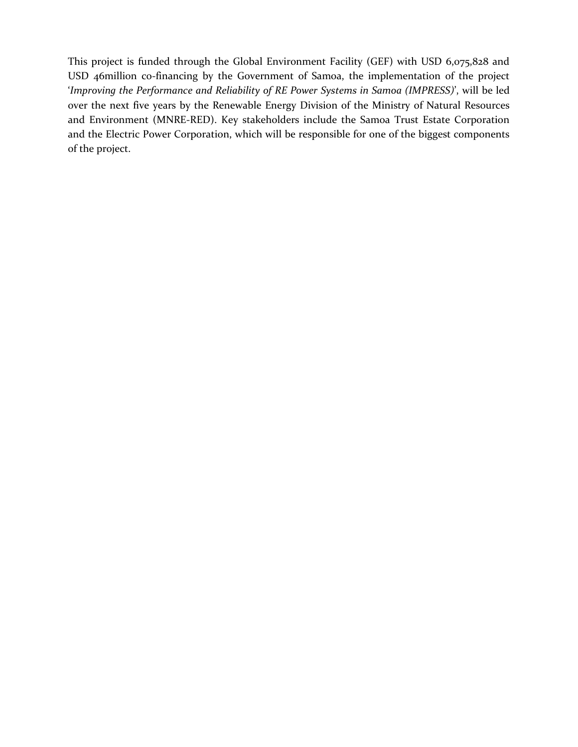This project is funded through the Global Environment Facility (GEF) with USD 6,075,828 and USD 46million co-financing by the Government of Samoa, the implementation of the project '*Improving the Performance and Reliability of RE Power Systems in Samoa (IMPRESS)*', will be led over the next five years by the Renewable Energy Division of the Ministry of Natural Resources and Environment (MNRE-RED). Key stakeholders include the Samoa Trust Estate Corporation and the Electric Power Corporation, which will be responsible for one of the biggest components of the project.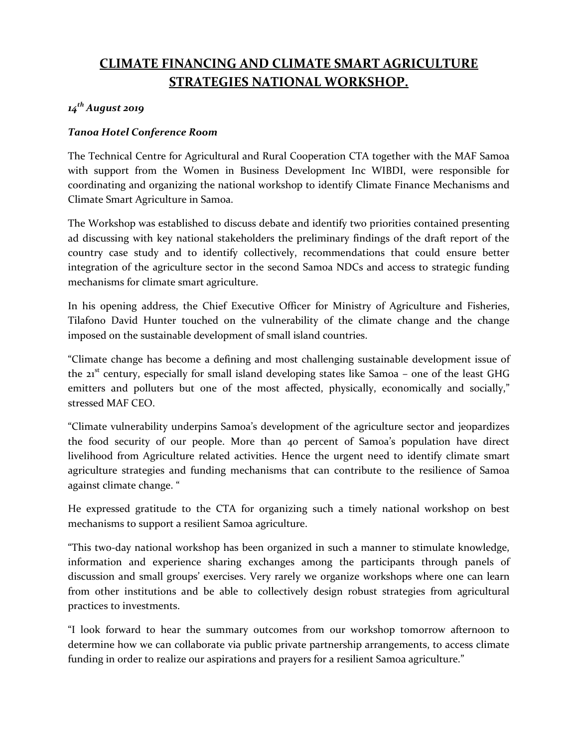## **CLIMATE FINANCING AND CLIMATE SMART AGRICULTURE STRATEGIES NATIONAL WORKSHOP.**

#### *14th August 2019*

#### *Tanoa Hotel Conference Room*

The Technical Centre for Agricultural and Rural Cooperation CTA together with the MAF Samoa with support from the Women in Business Development Inc WIBDI, were responsible for coordinating and organizing the national workshop to identify Climate Finance Mechanisms and Climate Smart Agriculture in Samoa.

The Workshop was established to discuss debate and identify two priorities contained presenting ad discussing with key national stakeholders the preliminary findings of the draft report of the country case study and to identify collectively, recommendations that could ensure better integration of the agriculture sector in the second Samoa NDCs and access to strategic funding mechanisms for climate smart agriculture.

In his opening address, the Chief Executive Officer for Ministry of Agriculture and Fisheries, Tilafono David Hunter touched on the vulnerability of the climate change and the change imposed on the sustainable development of small island countries.

"Climate change has become a defining and most challenging sustainable development issue of the 21<sup>st</sup> century, especially for small island developing states like Samoa - one of the least GHG emitters and polluters but one of the most affected, physically, economically and socially," stressed MAF CEO.

"Climate vulnerability underpins Samoa's development of the agriculture sector and jeopardizes the food security of our people. More than 40 percent of Samoa's population have direct livelihood from Agriculture related activities. Hence the urgent need to identify climate smart agriculture strategies and funding mechanisms that can contribute to the resilience of Samoa against climate change. "

He expressed gratitude to the CTA for organizing such a timely national workshop on best mechanisms to support a resilient Samoa agriculture.

"This two-day national workshop has been organized in such a manner to stimulate knowledge, information and experience sharing exchanges among the participants through panels of discussion and small groups' exercises. Very rarely we organize workshops where one can learn from other institutions and be able to collectively design robust strategies from agricultural practices to investments.

"I look forward to hear the summary outcomes from our workshop tomorrow afternoon to determine how we can collaborate via public private partnership arrangements, to access climate funding in order to realize our aspirations and prayers for a resilient Samoa agriculture."